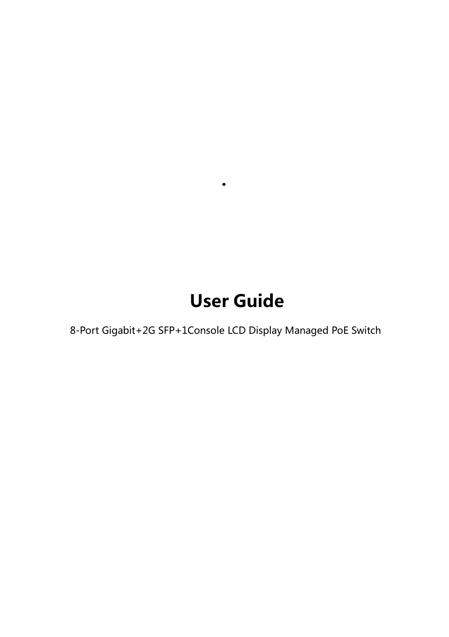# User Guide

8-Port Gigabit+2G SFP+1Console LCD Display Managed PoE Switch

.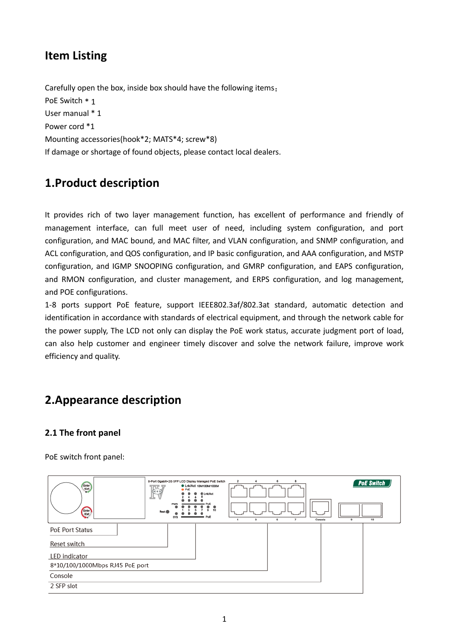# **Item Listing**

Carefully open the box, inside box should have the following items: PoE Switch \* 1 User manual \* 1 Power cord \*1 Mounting accessories(hook\*2; MATS\*4; screw\*8) If damage or shortage of found objects, please contact local dealers.

# **1.Product description**

It provides rich of two layer management function, has excellent of performance and friendly of management interface, can full meet user of need, including system configuration, and port configuration, and MAC bound, and MAC filter, and VLAN configuration, and SNMP configuration, and ACL configuration, and QOS configuration, and IP basic configuration, and AAA configuration, and MSTP configuration, and IGMP SNOOPING configuration, and GMRP configuration, and EAPS configuration, and RMON configuration, and cluster management, and ERPS configuration, and log management, and POE configurations.

1-8 ports support PoE feature, support IEEE802.3af/802.3at standard, automatic detection and identification in accordance with standards of electrical equipment, and through the network cable for the power supply, The LCD not only can display the PoE work status, accurate judgment port of load, can also help customer and engineer timely discover and solve the network failure, improve work efficiency and quality.

# **2.Appearance description**

## **2.1 The front panel**

PoE switch front panel:

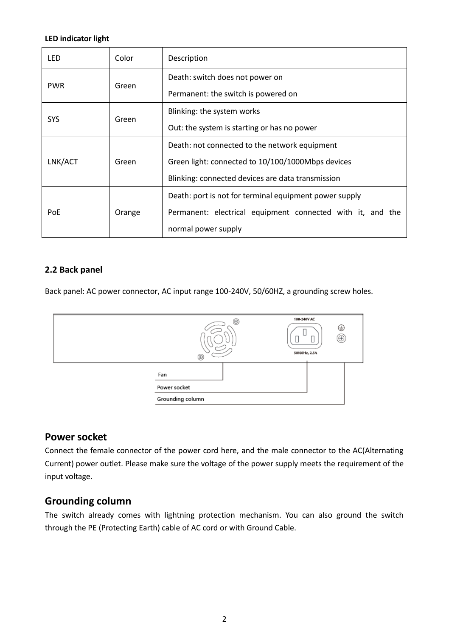#### **LED indicator light**

| LED        | Color  | Description                                                |  |
|------------|--------|------------------------------------------------------------|--|
| <b>PWR</b> | Green  | Death: switch does not power on                            |  |
|            |        | Permanent: the switch is powered on                        |  |
| SYS        | Green  | Blinking: the system works                                 |  |
|            |        | Out: the system is starting or has no power                |  |
| LNK/ACT    | Green  | Death: not connected to the network equipment              |  |
|            |        | Green light: connected to 10/100/1000Mbps devices          |  |
|            |        | Blinking: connected devices are data transmission          |  |
| PoE        | Orange | Death: port is not for terminal equipment power supply     |  |
|            |        | Permanent: electrical equipment connected with it, and the |  |
|            |        | normal power supply                                        |  |

### **2.2 Back panel**

Back panel: AC power connector, AC input range 100-240V, 50/60HZ, a grounding screw holes.

|                  | ◉<br>$^{\circ}$ | 100-240V AC<br>⊕<br>Œ<br>50/60Hz, 2.5A |
|------------------|-----------------|----------------------------------------|
| Fan              |                 |                                        |
| Power socket     |                 |                                        |
| Grounding column |                 |                                        |

## **Power socket**

Connect the female connector of the power cord here, and the male connector to the AC(Alternating Current) power outlet. Please make sure the voltage of the power supply meets the requirement of the input voltage.

## **Grounding column**

The switch already comes with lightning protection mechanism. You can also ground the switch through the PE (Protecting Earth) cable of AC cord or with Ground Cable.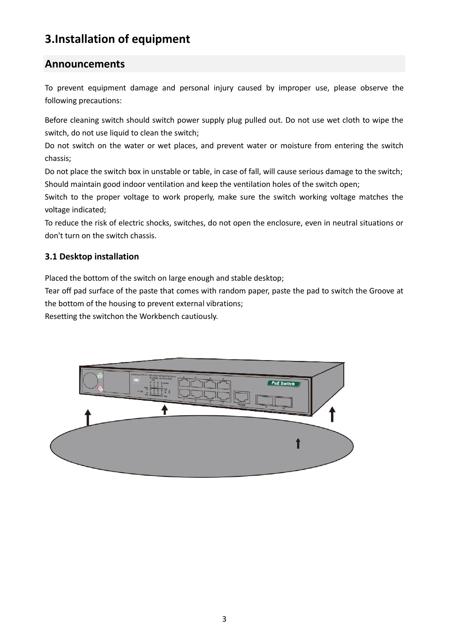# **3.Installation of equipment**

## **Announcements**

To prevent equipment damage and personal injury caused by improper use, please observe the following precautions:

Before cleaning switch should switch power supply plug pulled out. Do not use wet cloth to wipe the switch, do not use liquid to clean the switch;

Do not switch on the water or wet places, and prevent water or moisture from entering the switch chassis;

Do not place the switch box in unstable or table, in case of fall, will cause serious damage to the switch; Should maintain good indoor ventilation and keep the ventilation holes of the switch open;

Switch to the proper voltage to work properly, make sure the switch working voltage matches the voltage indicated;

To reduce the risk of electric shocks, switches, do not open the enclosure, even in neutral situations or don't turn on the switch chassis.

## **3.1 Desktop installation**

Placed the bottom of the switch on large enough and stable desktop;

Tear off pad surface of the paste that comes with random paper, paste the pad to switch the Groove at the bottom of the housing to prevent external vibrations;

Resetting the switchon the Workbench cautiously.

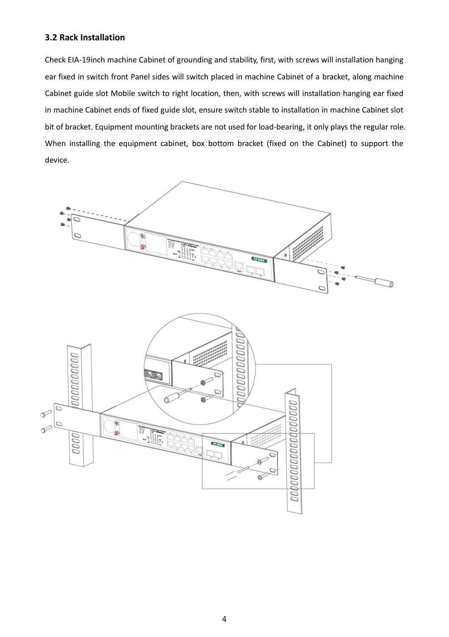#### **3.2 Rack Installation**

Check EIA-19inch machine Cabinet of grounding and stability, first, with screws will installation hanging ear fixed in switch front Panel sides will switch placed in machine Cabinet of a bracket, along machine Cabinet guide slot Mobile switch to right location, then, with screws will installation hanging ear fixed in machine Cabinet ends of fixed guide slot, ensure switch stable to installation in machine Cabinet slot bit of bracket. Equipment mounting brackets are not used for load-bearing, it only plays the regular role. When installing the equipment cabinet, box bottom bracket (fixed on the Cabinet) to support the device.

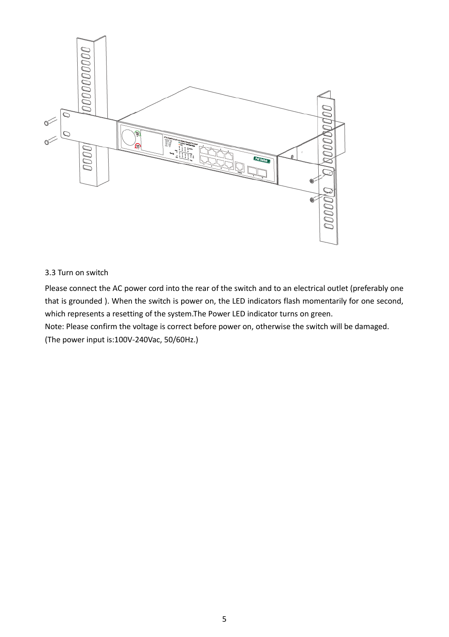

#### 3.3 Turn on switch

Please connect the AC power cord into the rear of the switch and to an electrical outlet (preferably one that is grounded ). When the switch is power on, the LED indicators flash momentarily for one second, which represents a resetting of the system.The Power LED indicator turns on green.

Note: Please confirm the voltage is correct before power on, otherwise the switch will be damaged. (The power input is:100V-240Vac, 50/60Hz.)